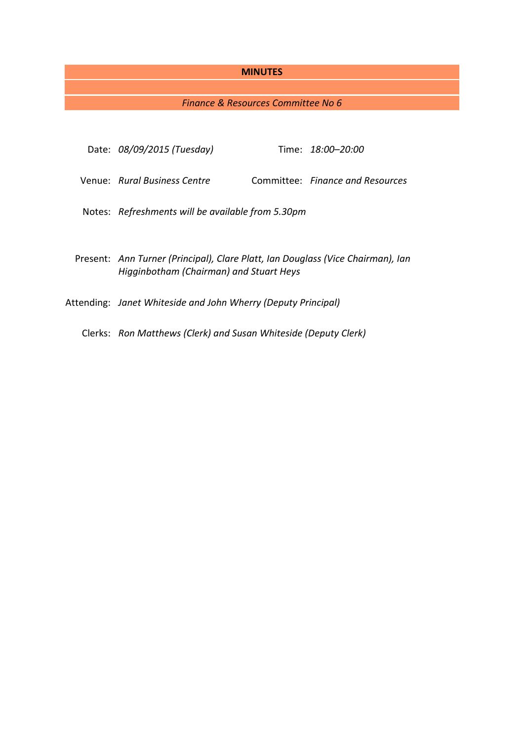### **MINUTES**

# *Finance & Resources Committee No 6*

| Date: 08/09/2015 (Tuesday)                                                                                                 |  | Time: 18:00–20:00                |
|----------------------------------------------------------------------------------------------------------------------------|--|----------------------------------|
| Venue: Rural Business Centre                                                                                               |  | Committee: Finance and Resources |
| Notes: Refreshments will be available from 5.30pm                                                                          |  |                                  |
| Present: Ann Turner (Principal), Clare Platt, Ian Douglass (Vice Chairman), Ian<br>Higginbotham (Chairman) and Stuart Heys |  |                                  |
| Attending: Janet Whiteside and John Wherry (Deputy Principal)                                                              |  |                                  |

Clerks: *Ron Matthews (Clerk) and Susan Whiteside (Deputy Clerk)*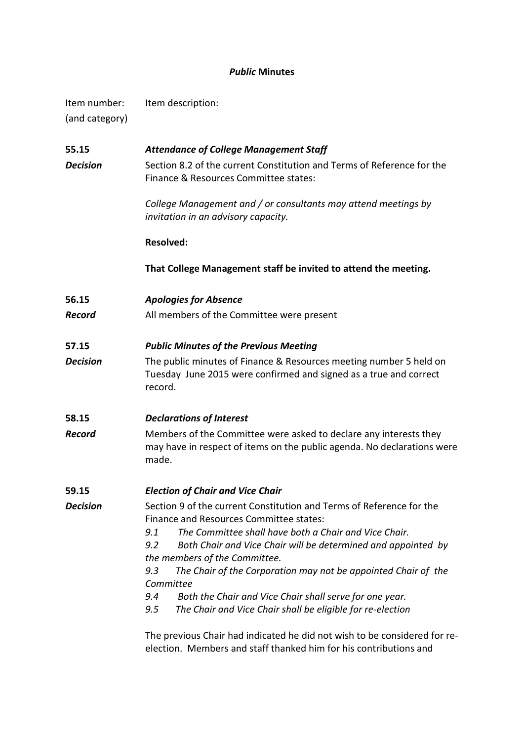# *Public* **Minutes**

| Item number:   | Item description: |
|----------------|-------------------|
| (and category) |                   |

| 55.15           | <b>Attendance of College Management Staff</b>                                                                                                                                                                                                                                                                                                                                                                                                                                                                                                                                                                                                                           |  |  |  |
|-----------------|-------------------------------------------------------------------------------------------------------------------------------------------------------------------------------------------------------------------------------------------------------------------------------------------------------------------------------------------------------------------------------------------------------------------------------------------------------------------------------------------------------------------------------------------------------------------------------------------------------------------------------------------------------------------------|--|--|--|
| <b>Decision</b> | Section 8.2 of the current Constitution and Terms of Reference for the<br>Finance & Resources Committee states:                                                                                                                                                                                                                                                                                                                                                                                                                                                                                                                                                         |  |  |  |
|                 | College Management and / or consultants may attend meetings by<br>invitation in an advisory capacity.                                                                                                                                                                                                                                                                                                                                                                                                                                                                                                                                                                   |  |  |  |
|                 | <b>Resolved:</b>                                                                                                                                                                                                                                                                                                                                                                                                                                                                                                                                                                                                                                                        |  |  |  |
|                 | That College Management staff be invited to attend the meeting.                                                                                                                                                                                                                                                                                                                                                                                                                                                                                                                                                                                                         |  |  |  |
| 56.15           | <b>Apologies for Absence</b>                                                                                                                                                                                                                                                                                                                                                                                                                                                                                                                                                                                                                                            |  |  |  |
| <b>Record</b>   | All members of the Committee were present                                                                                                                                                                                                                                                                                                                                                                                                                                                                                                                                                                                                                               |  |  |  |
| 57.15           | <b>Public Minutes of the Previous Meeting</b>                                                                                                                                                                                                                                                                                                                                                                                                                                                                                                                                                                                                                           |  |  |  |
| <b>Decision</b> | The public minutes of Finance & Resources meeting number 5 held on<br>Tuesday June 2015 were confirmed and signed as a true and correct<br>record.                                                                                                                                                                                                                                                                                                                                                                                                                                                                                                                      |  |  |  |
| 58.15           | <b>Declarations of Interest</b>                                                                                                                                                                                                                                                                                                                                                                                                                                                                                                                                                                                                                                         |  |  |  |
| <b>Record</b>   | Members of the Committee were asked to declare any interests they<br>may have in respect of items on the public agenda. No declarations were<br>made.                                                                                                                                                                                                                                                                                                                                                                                                                                                                                                                   |  |  |  |
| 59.15           | <b>Election of Chair and Vice Chair</b>                                                                                                                                                                                                                                                                                                                                                                                                                                                                                                                                                                                                                                 |  |  |  |
| <b>Decision</b> | Section 9 of the current Constitution and Terms of Reference for the<br>Finance and Resources Committee states:<br>The Committee shall have both a Chair and Vice Chair.<br>9.1<br>9.2<br>Both Chair and Vice Chair will be determined and appointed by<br>the members of the Committee.<br>The Chair of the Corporation may not be appointed Chair of the<br>9.3<br>Committee<br>Both the Chair and Vice Chair shall serve for one year.<br>9.4<br>The Chair and Vice Chair shall be eligible for re-election<br>9.5<br>The previous Chair had indicated he did not wish to be considered for re-<br>election. Members and staff thanked him for his contributions and |  |  |  |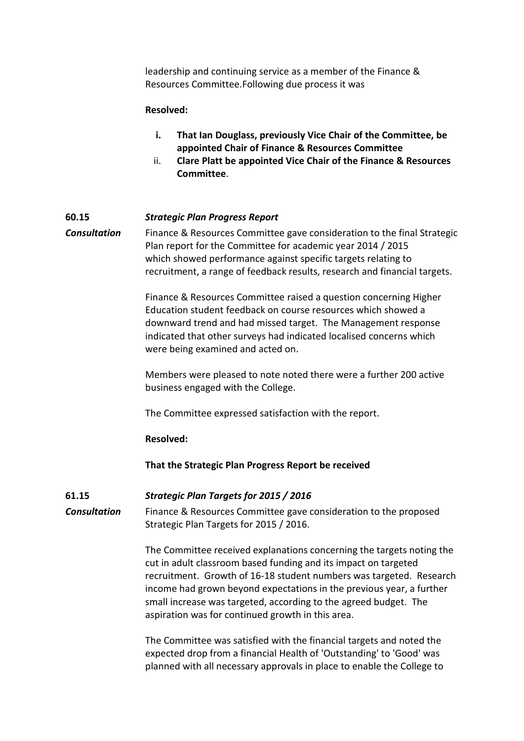leadership and continuing service as a member of the Finance & Resources Committee.Following due process it was

### **Resolved:**

- **i. That Ian Douglass, previously Vice Chair of the Committee, be appointed Chair of Finance & Resources Committee**
- ii. **Clare Platt be appointed Vice Chair of the Finance & Resources Committee**.

## **60.15** *Strategic Plan Progress Report*

**Consultation** Finance & Resources Committee gave consideration to the final Strategic Plan report for the Committee for academic year 2014 / 2015 which showed performance against specific targets relating to recruitment, a range of feedback results, research and financial targets.

> Finance & Resources Committee raised a question concerning Higher Education student feedback on course resources which showed a downward trend and had missed target. The Management response indicated that other surveys had indicated localised concerns which were being examined and acted on.

> Members were pleased to note noted there were a further 200 active business engaged with the College.

The Committee expressed satisfaction with the report.

#### **Resolved:**

**That the Strategic Plan Progress Report be received**

## **61.15** *Strategic Plan Targets for 2015 / 2016*

*Consultation* Finance & Resources Committee gave consideration to the proposed Strategic Plan Targets for 2015 / 2016.

> The Committee received explanations concerning the targets noting the cut in adult classroom based funding and its impact on targeted recruitment. Growth of 16-18 student numbers was targeted. Research income had grown beyond expectations in the previous year, a further small increase was targeted, according to the agreed budget. The aspiration was for continued growth in this area.

The Committee was satisfied with the financial targets and noted the expected drop from a financial Health of 'Outstanding' to 'Good' was planned with all necessary approvals in place to enable the College to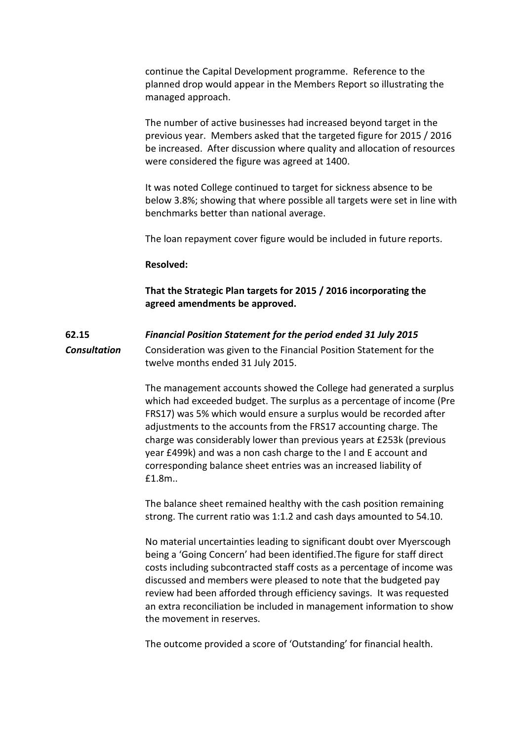continue the Capital Development programme. Reference to the planned drop would appear in the Members Report so illustrating the managed approach.

The number of active businesses had increased beyond target in the previous year. Members asked that the targeted figure for 2015 / 2016 be increased. After discussion where quality and allocation of resources were considered the figure was agreed at 1400.

It was noted College continued to target for sickness absence to be below 3.8%; showing that where possible all targets were set in line with benchmarks better than national average.

The loan repayment cover figure would be included in future reports.

#### **Resolved:**

## **That the Strategic Plan targets for 2015 / 2016 incorporating the agreed amendments be approved.**

# **62.15** *Financial Position Statement for the period ended 31 July 2015 Consultation* Consideration was given to the Financial Position Statement for the twelve months ended 31 July 2015.

The management accounts showed the College had generated a surplus which had exceeded budget. The surplus as a percentage of income (Pre FRS17) was 5% which would ensure a surplus would be recorded after adjustments to the accounts from the FRS17 accounting charge. The charge was considerably lower than previous years at £253k (previous year £499k) and was a non cash charge to the I and E account and corresponding balance sheet entries was an increased liability of £1.8m..

The balance sheet remained healthy with the cash position remaining strong. The current ratio was 1:1.2 and cash days amounted to 54.10.

No material uncertainties leading to significant doubt over Myerscough being a 'Going Concern' had been identified.The figure for staff direct costs including subcontracted staff costs as a percentage of income was discussed and members were pleased to note that the budgeted pay review had been afforded through efficiency savings. It was requested an extra reconciliation be included in management information to show the movement in reserves.

The outcome provided a score of 'Outstanding' for financial health.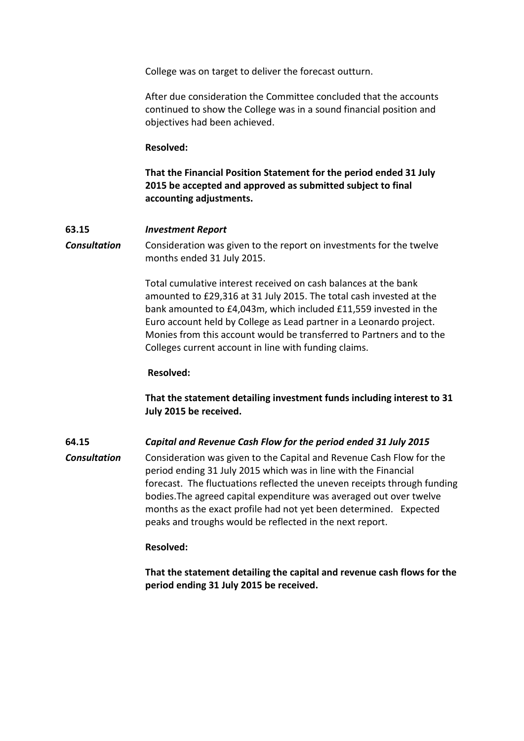College was on target to deliver the forecast outturn.

After due consideration the Committee concluded that the accounts continued to show the College was in a sound financial position and objectives had been achieved.

#### **Resolved:**

**That the Financial Position Statement for the period ended 31 July 2015 be accepted and approved as submitted subject to final accounting adjustments.**

### **63.15** *Investment Report*

**Consultation** Consideration was given to the report on investments for the twelve months ended 31 July 2015.

> Total cumulative interest received on cash balances at the bank amounted to £29,316 at 31 July 2015. The total cash invested at the bank amounted to £4,043m, which included £11,559 invested in the Euro account held by College as Lead partner in a Leonardo project. Monies from this account would be transferred to Partners and to the Colleges current account in line with funding claims.

### **Resolved:**

**That the statement detailing investment funds including interest to 31 July 2015 be received.**

## **64.15** *Capital and Revenue Cash Flow for the period ended 31 July 2015*

*Consultation* Consideration was given to the Capital and Revenue Cash Flow for the period ending 31 July 2015 which was in line with the Financial forecast. The fluctuations reflected the uneven receipts through funding bodies.The agreed capital expenditure was averaged out over twelve months as the exact profile had not yet been determined. Expected peaks and troughs would be reflected in the next report.

## **Resolved:**

**That the statement detailing the capital and revenue cash flows for the period ending 31 July 2015 be received.**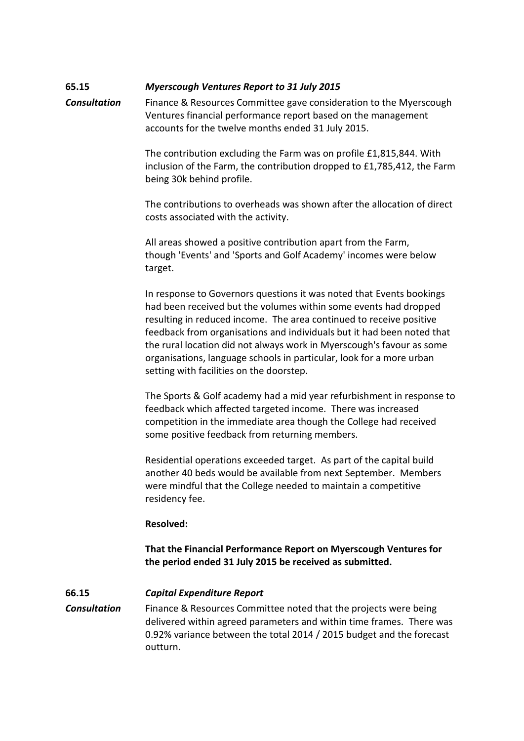# **65.15** *Myerscough Ventures Report to 31 July 2015*

*Consultation* Finance & Resources Committee gave consideration to the Myerscough Ventures financial performance report based on the management accounts for the twelve months ended 31 July 2015.

> The contribution excluding the Farm was on profile £1,815,844. With inclusion of the Farm, the contribution dropped to £1,785,412, the Farm being 30k behind profile.

> The contributions to overheads was shown after the allocation of direct costs associated with the activity.

All areas showed a positive contribution apart from the Farm, though 'Events' and 'Sports and Golf Academy' incomes were below target.

In response to Governors questions it was noted that Events bookings had been received but the volumes within some events had dropped resulting in reduced income. The area continued to receive positive feedback from organisations and individuals but it had been noted that the rural location did not always work in Myerscough's favour as some organisations, language schools in particular, look for a more urban setting with facilities on the doorstep.

The Sports & Golf academy had a mid year refurbishment in response to feedback which affected targeted income. There was increased competition in the immediate area though the College had received some positive feedback from returning members.

Residential operations exceeded target. As part of the capital build another 40 beds would be available from next September. Members were mindful that the College needed to maintain a competitive residency fee.

#### **Resolved:**

**That the Financial Performance Report on Myerscough Ventures for the period ended 31 July 2015 be received as submitted.**

#### **66.15** *Capital Expenditure Report*

*Consultation* Finance & Resources Committee noted that the projects were being delivered within agreed parameters and within time frames. There was 0.92% variance between the total 2014 / 2015 budget and the forecast outturn.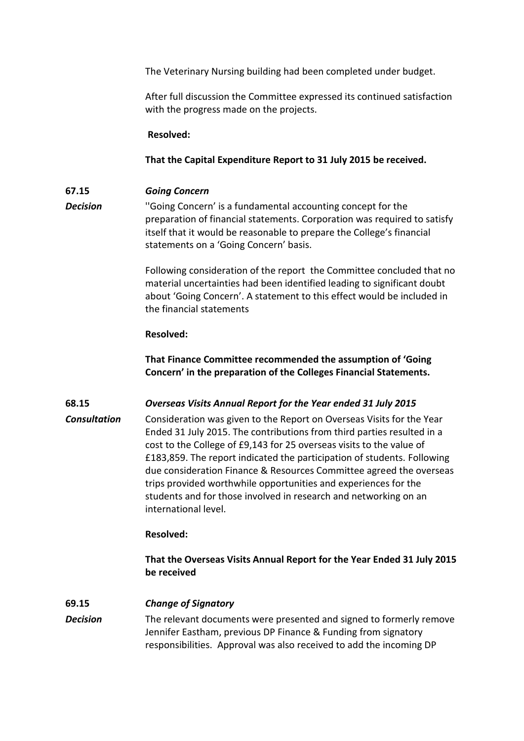The Veterinary Nursing building had been completed under budget.

After full discussion the Committee expressed its continued satisfaction with the progress made on the projects.

**Resolved:**

## **That the Capital Expenditure Report to 31 July 2015 be received.**

# **67.15** *Going Concern*

**Decision** "Going Concern' is a fundamental accounting concept for the preparation of financial statements. Corporation was required to satisfy itself that it would be reasonable to prepare the College's financial statements on a 'Going Concern' basis.

> Following consideration of the report the Committee concluded that no material uncertainties had been identified leading to significant doubt about 'Going Concern'. A statement to this effect would be included in the financial statements

## **Resolved:**

**That Finance Committee recommended the assumption of 'Going Concern' in the preparation of the Colleges Financial Statements.** 

**68.15** *Overseas Visits Annual Report for the Year ended 31 July 2015*

*Consultation* Consideration was given to the Report on Overseas Visits for the Year Ended 31 July 2015. The contributions from third parties resulted in a cost to the College of £9,143 for 25 overseas visits to the value of £183,859. The report indicated the participation of students. Following due consideration Finance & Resources Committee agreed the overseas trips provided worthwhile opportunities and experiences for the students and for those involved in research and networking on an international level.

# **Resolved:**

**That the Overseas Visits Annual Report for the Year Ended 31 July 2015 be received**

## **69.15** *Change of Signatory*

*Decision* The relevant documents were presented and signed to formerly remove Jennifer Eastham, previous DP Finance & Funding from signatory responsibilities. Approval was also received to add the incoming DP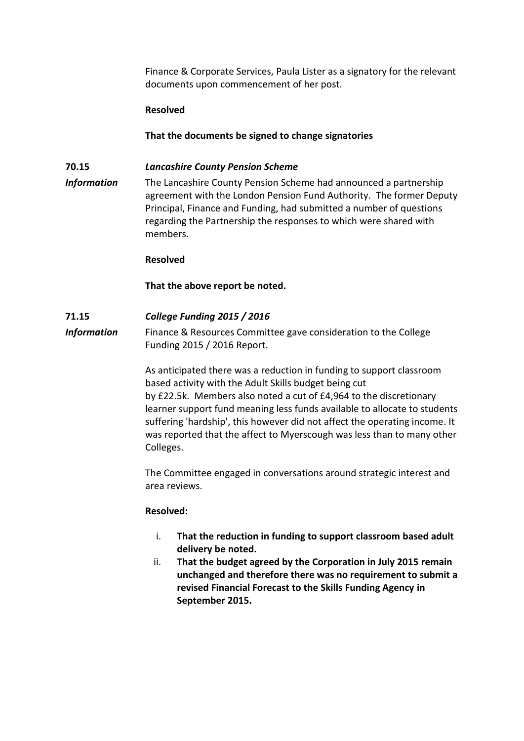Finance & Corporate Services, Paula Lister as a signatory for the relevant documents upon commencement of her post.

### **Resolved**

**That the documents be signed to change signatories**

## **70.15** *Lancashire County Pension Scheme*

*Information* The Lancashire County Pension Scheme had announced a partnership agreement with the London Pension Fund Authority. The former Deputy Principal, Finance and Funding, had submitted a number of questions regarding the Partnership the responses to which were shared with members.

### **Resolved**

**That the above report be noted.**

## **71.15** *College Funding 2015 / 2016*

**Information** Finance & Resources Committee gave consideration to the College Funding 2015 / 2016 Report.

> As anticipated there was a reduction in funding to support classroom based activity with the Adult Skills budget being cut by £22.5k. Members also noted a cut of £4,964 to the discretionary learner support fund meaning less funds available to allocate to students suffering 'hardship', this however did not affect the operating income. It was reported that the affect to Myerscough was less than to many other Colleges.

The Committee engaged in conversations around strategic interest and area reviews.

#### **Resolved:**

- i. **That the reduction in funding to support classroom based adult delivery be noted.**
- ii. **That the budget agreed by the Corporation in July 2015 remain unchanged and therefore there was no requirement to submit a revised Financial Forecast to the Skills Funding Agency in September 2015.**